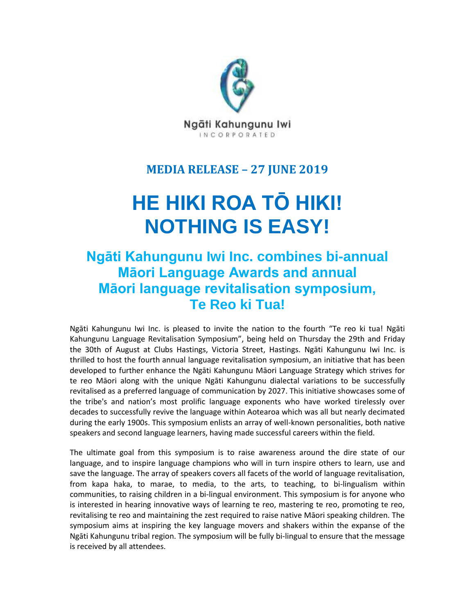

# **MEDIA RELEASE – 27 JUNE 2019**

# **HE HIKI ROA TŌ HIKI! NOTHING IS EASY!**

# **Ngāti Kahungunu Iwi Inc. combines bi-annual Māori Language Awards and annual Māori language revitalisation symposium, Te Reo ki Tua!**

Ngāti Kahungunu Iwi Inc. is pleased to invite the nation to the fourth "Te reo ki tua! Ngāti Kahungunu Language Revitalisation Symposium", being held on Thursday the 29th and Friday the 30th of August at Clubs Hastings, Victoria Street, Hastings. Ngāti Kahungunu Iwi Inc. is thrilled to host the fourth annual language revitalisation symposium, an initiative that has been developed to further enhance the Ngāti Kahungunu Māori Language Strategy which strives for te reo Māori along with the unique Ngāti Kahungunu dialectal variations to be successfully revitalised as a preferred language of communication by 2027. This initiative showcases some of the tribe's and nation's most prolific language exponents who have worked tirelessly over decades to successfully revive the language within Aotearoa which was all but nearly decimated during the early 1900s. This symposium enlists an array of well-known personalities, both native speakers and second language learners, having made successful careers within the field.

The ultimate goal from this symposium is to raise awareness around the dire state of our language, and to inspire language champions who will in turn inspire others to learn, use and save the language. The array of speakers covers all facets of the world of language revitalisation, from kapa haka, to marae, to media, to the arts, to teaching, to bi-lingualism within communities, to raising children in a bi-lingual environment. This symposium is for anyone who is interested in hearing innovative ways of learning te reo, mastering te reo, promoting te reo, revitalising te reo and maintaining the zest required to raise native Māori speaking children. The symposium aims at inspiring the key language movers and shakers within the expanse of the Ngāti Kahungunu tribal region. The symposium will be fully bi-lingual to ensure that the message is received by all attendees.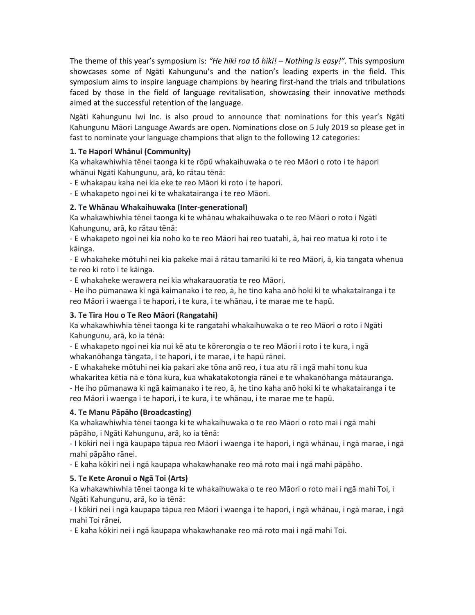The theme of this year's symposium is: *"He hiki roa tō hiki! – Nothing is easy!".* This symposium showcases some of Ngāti Kahungunu's and the nation's leading experts in the field. This symposium aims to inspire language champions by hearing first-hand the trials and tribulations faced by those in the field of language revitalisation, showcasing their innovative methods aimed at the successful retention of the language.

Ngāti Kahungunu Iwi Inc. is also proud to announce that nominations for this year's Ngāti Kahungunu Māori Language Awards are open. Nominations close on 5 July 2019 so please get in fast to nominate your language champions that align to the following 12 categories:

### **1. Te Hapori Whānui (Community)**

Ka whakawhiwhia tēnei taonga ki te rōpū whakaihuwaka o te reo Māori o roto i te hapori whānui Ngāti Kahungunu, arā, ko rātau tēnā:

- E whakapau kaha nei kia eke te reo Māori ki roto i te hapori.

- E whakapeto ngoi nei ki te whakatairanga i te reo Māori.

## **2. Te Whānau Whakaihuwaka (Inter-generational)**

Ka whakawhiwhia tēnei taonga ki te whānau whakaihuwaka o te reo Māori o roto i Ngāti Kahungunu, arā, ko rātau tēnā:

- E whakapeto ngoi nei kia noho ko te reo Māori hai reo tuatahi, ā, hai reo matua ki roto i te kāinga.

- E whakaheke mōtuhi nei kia pakeke mai ā rātau tamariki ki te reo Māori, ā, kia tangata whenua te reo ki roto i te kāinga.

- E whakaheke werawera nei kia whakarauoratia te reo Māori.

- He iho pūmanawa ki ngā kaimanako i te reo, ā, he tino kaha anō hoki ki te whakatairanga i te reo Māori i waenga i te hapori, i te kura, i te whānau, i te marae me te hapū.

# **3. Te Tira Hou o Te Reo Māori (Rangatahi)**

Ka whakawhiwhia tēnei taonga ki te rangatahi whakaihuwaka o te reo Māori o roto i Ngāti Kahungunu, arā, ko ia tēnā:

- E whakapeto ngoi nei kia nui kē atu te kōrerongia o te reo Māori i roto i te kura, i ngā whakanōhanga tāngata, i te hapori, i te marae, i te hapū rānei.

- E whakaheke mōtuhi nei kia pakari ake tōna anō reo, i tua atu rā i ngā mahi tonu kua whakaritea kētia nā e tōna kura, kua whakatakotongia rānei e te whakanōhanga mātauranga. - He iho pūmanawa ki ngā kaimanako i te reo, ā, he tino kaha anō hoki ki te whakatairanga i te reo Māori i waenga i te hapori, i te kura, i te whānau, i te marae me te hapū.

# **4. Te Manu Pāpāho (Broadcasting)**

Ka whakawhiwhia tēnei taonga ki te whakaihuwaka o te reo Māori o roto mai i ngā mahi pāpāho, i Ngāti Kahungunu, arā, ko ia tēnā:

- I kōkiri nei i ngā kaupapa tāpua reo Māori i waenga i te hapori, i ngā whānau, i ngā marae, i ngā mahi pāpāho rānei.

- E kaha kōkiri nei i ngā kaupapa whakawhanake reo mā roto mai i ngā mahi pāpāho.

# **5. Te Kete Aronui o Ngā Toi (Arts)**

Ka whakawhiwhia tēnei taonga ki te whakaihuwaka o te reo Māori o roto mai i ngā mahi Toi, i Ngāti Kahungunu, arā, ko ia tēnā:

- I kōkiri nei i ngā kaupapa tāpua reo Māori i waenga i te hapori, i ngā whānau, i ngā marae, i ngā mahi Toi rānei.

- E kaha kōkiri nei i ngā kaupapa whakawhanake reo mā roto mai i ngā mahi Toi.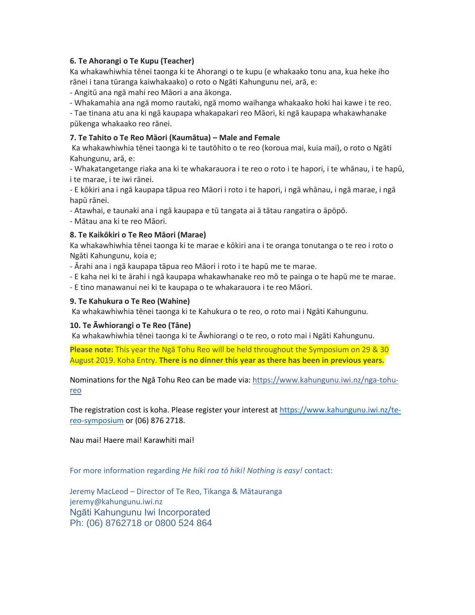#### **6. Te Ahorangi o Te Kupu (Teacher)**

Ka whakawhiwhia tēnei taonga ki te Ahorangi o te kupu (e whakaako tonu ana, kua heke iho rānei i tana tūranga kaiwhakaako) o roto o Ngāti Kahungunu nei, arā, e:

- Angitū ana ngā mahi reo Māori a ana ākonga.

- Whakamahia ana ngā momo rautaki, ngā momo waihanga whakaako hoki hai kawe i te reo.

- Tae tinana atu ana ki ngā kaupapa whakapakari reo Māori, ki ngā kaupapa whakawhanake pūkenga whakaako reo rānei.

#### **7. Te Tahito o Te Reo Māori (Kaumātua) – Male and Female**

Ka whakawhiwhia tēnei taonga ki te tautōhito o te reo (koroua mai, kuia mai), o roto o Ngāti Kahungunu, arā, e:

- Whakatangetange riaka ana ki te whakarauora i te reo o roto i te hapori, i te whānau, i te hapū, i te marae, i te iwi rānei.

- E kōkiri ana i ngā kaupapa tāpua reo Māori i roto i te hapori, i ngā whānau, i ngā marae, i ngā hapū rānei.

- Atawhai, e taunaki ana i ngā kaupapa e tū tangata ai ā tātau rangatira o āpōpō.

- Mātau ana ki te reo Māori.

#### **8. Te Kaikōkiri o Te Reo Māori (Marae)**

Ka whakawhiwhia tēnei taonga ki te marae e kōkiri ana i te oranga tonutanga o te reo i roto o Ngāti Kahungunu, koia e;

- Ārahi ana i ngā kaupapa tāpua reo Māori i roto i te hapū me te marae.

- E kaha nei ki te ārahi i ngā kaupapa whakawhanake reo mō te painga o te hapū me te marae.

- E tino manawanui nei ki te kaupapa o te whakarauora i te reo Māori.

#### **9. Te Kahukura o Te Reo (Wahine)**

Ka whakawhiwhia tēnei taonga ki te Kahukura o te reo, o roto mai i Ngāti Kahungunu.

#### **10. Te Āwhiorangi o Te Reo (Tāne)**

Ka whakawhiwhia tēnei taonga ki te Āwhiorangi o te reo, o roto mai i Ngāti Kahungunu.

**Please note:** This year the Ngā Tohu Reo will be held throughout the Symposium on 29 & 30 August 2019. Koha Entry. **There is no dinner this year as there has been in previous years.**

Nominations for the Ngā Tohu Reo can be made via: [https://www.kahungunu.iwi.nz/nga-tohu](https://www.kahungunu.iwi.nz/nga-tohu-reo?fbclid=IwAR0P6PSFw3ML6FMdQi7PuaYmEz-KkwpZ4jlAhRo0t0reJqW6qn6cVgc29Z8)[reo](https://www.kahungunu.iwi.nz/nga-tohu-reo?fbclid=IwAR0P6PSFw3ML6FMdQi7PuaYmEz-KkwpZ4jlAhRo0t0reJqW6qn6cVgc29Z8)

The registration cost is koha. Please register your interest a[t https://www.kahungunu.iwi.nz/te](https://www.kahungunu.iwi.nz/te-reo-symposium)[reo-symposium](https://www.kahungunu.iwi.nz/te-reo-symposium) or (06) 876 2718.

Nau mai! Haere mai! Karawhiti mai!

For more information regarding *He hiki roa tō hiki! Nothing is easy!* contact:

Jeremy MacLeod – Director of Te Reo, Tikanga & Mātauranga jeremy@kahungunu.iwi.nz Ngāti Kahungunu Iwi Incorporated Ph: (06) 8762718 or 0800 524 864